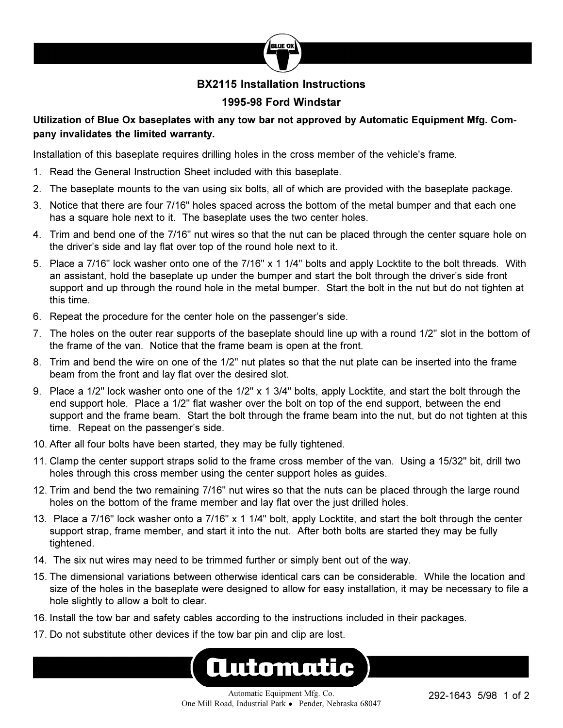

### **BX2115 Installation Instructions**

### **1995-98 Ford Windstar**

### **Utilization of Blue Ox baseplates with any tow bar not approved by Automatic Equipment Mfg. Company invalidates the limited warranty.**

Installation of this baseplate requires drilling holes in the cross member of the vehicle's frame.

- 1. Read the General Instruction Sheet included with this baseplate.
- 2. The baseplate mounts to the van using six bolts, all of which are provided with the baseplate package.
- 3. Notice that there are four 7/16" holes spaced across the bottom of the metal bumper and that each one has a square hole next to it. The baseplate uses the two center holes.
- 4. Trim and bend one of the 7/16" nut wires so that the nut can be placed through the center square hole on the driver's side and lay flat over top of the round hole next to it.
- 5. Place a 7/16" lock washer onto one of the 7/16" x 1 1/4" bolts and apply Locktite to the bolt threads. With an assistant, hold the baseplate up under the bumper and start the bolt through the driver's side front support and up through the round hole in the metal bumper. Start the bolt in the nut but do not tighten at this time.
- 6. Repeat the procedure for the center hole on the passenger's side.
- 7. The holes on the outer rear supports of the baseplate should line up with a round 1/2" slot in the bottom of the frame of the van. Notice that the frame beam is open at the front.
- 8. Trim and bend the wire on one of the 1/2" nut plates so that the nut plate can be inserted into the frame beam from the front and lay flat over the desired slot.
- 9. Place a 1/2" lock washer onto one of the 1/2" x 1 3/4" bolts, apply Locktite, and start the bolt through the end support hole. Place a 1/2" flat washer over the bolt on top of the end support, between the end support and the frame beam. Start the bolt through the frame beam into the nut, but do not tighten at this time. Repeat on the passenger's side.
- 10. After all four bolts have been started, they may be fully tightened.
- 11. Clamp the center support straps solid to the frame cross member of the van. Using a 15/32" bit, drill two holes through this cross member using the center support holes as guides.
- 12. Trim and bend the two remaining 7/16" nut wires so that the nuts can be placed through the large round holes on the bottom of the frame member and lay flat over the just drilled holes.
- 13. Place a 7/16" lock washer onto a 7/16" x 1 1/4" bolt, apply Locktite, and start the bolt through the center support strap, frame member, and start it into the nut. After both bolts are started they may be fully tightened.
- 14. The six nut wires may need to be trimmed further or simply bent out of the way.
- 15. The dimensional variations between otherwise identical cars can be considerable. While the location and size of the holes in the baseplate were designed to allow for easy installation, it may be necessary to file a hole slightly to allow a bolt to clear.
- 16. Install the tow bar and safety cables according to the instructions included in their packages.
- 17. Do not substitute other devices if the tow bar pin and clip are lost.

# Automatic